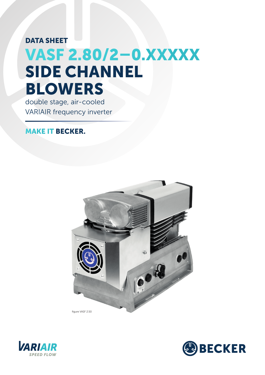## VASF 2.80/2–0.XXXXX DATA SHEET SIDE CHANNEL BLOWERS

double stage, air-cooled VARIAIR frequency inverter

## MAKE IT BECKER.





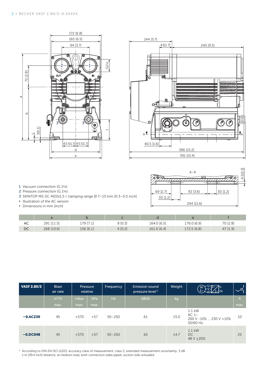



1 Vacuum connection (G 1¼)

- 2 Pressure connection (G 1¼)
- 3 SKINTOP MS-SC-M20x1.5 / clamping range Ø 7–13 mm [0.3–0.5 inch]
- **▪** Illustration of the AC version
- **▪** Dimensions in mm [inch]

|                      | $A - A$              | 网<br>6.510. |
|----------------------|----------------------|-------------|
|                      |                      |             |
| 69 [2.7]<br>30 [1.2] | 30 [1.2]<br>92 [3.6] |             |
|                      | 294 [11.6]           |             |

| AC | 291 [11.5] | 179 [7.1] | 3 [0.3] | 164.0 [6.5] | 176.0 [6.9] | 70 [2.8] |
|----|------------|-----------|---------|-------------|-------------|----------|
| DC | 268 [10.6] | 156 [6.1] | 4[0.2]  | 161.6 [6.4] | 172.5 [6.8] | 47 [1.9] |

| $\mathsf{DC}$      |                          |                      | 179 [7.1] | 8[0.3]     |                                                       | 164.0 [6.5]<br>176.0 [6.9] |                                                                                                                                                                                                                                                                                                                   | 70 [2.8] |                                 |  |
|--------------------|--------------------------|----------------------|-----------|------------|-------------------------------------------------------|----------------------------|-------------------------------------------------------------------------------------------------------------------------------------------------------------------------------------------------------------------------------------------------------------------------------------------------------------------|----------|---------------------------------|--|
|                    | 268 [10.6]               | 156 [6.1]            |           | 4[0.2]     | 161.6 [6.4]                                           |                            | 172.5 [6.8]                                                                                                                                                                                                                                                                                                       |          | 47 [1.9]                        |  |
|                    |                          |                      |           |            |                                                       |                            |                                                                                                                                                                                                                                                                                                                   |          |                                 |  |
|                    |                          | Pressure<br>relative |           |            |                                                       |                            | $M_{3}^{U}$ $\frac{1}{2}$ $\frac{1}{2}$ $\frac{1}{2}$ $\frac{1}{2}$ $\frac{1}{2}$ $\frac{1}{2}$ $\frac{1}{2}$ $\frac{1}{2}$ $\frac{1}{2}$ $\frac{1}{2}$ $\frac{1}{2}$ $\frac{1}{2}$ $\frac{1}{2}$ $\frac{1}{2}$ $\frac{1}{2}$ $\frac{1}{2}$ $\frac{1}{2}$ $\frac{1}{2}$ $\frac{1}{2}$ $\frac{1}{2}$ $\frac{1}{2}$ |          |                                 |  |
| <b>VASF 2.80/2</b> | <b>Blast</b><br>air rate |                      |           | Frequency  | <b>Emission sound</b><br>pressure level <sup>1)</sup> | Weight                     |                                                                                                                                                                                                                                                                                                                   |          | $\sim$ $\overline{\mathcal{A}}$ |  |
|                    | $m^3/h$                  | mbar                 | kPa       | Hz         | dB(A)                                                 | kg                         |                                                                                                                                                                                                                                                                                                                   |          | $\mathsf{A}$                    |  |
|                    | max.                     | max.                 | max.      |            |                                                       |                            |                                                                                                                                                                                                                                                                                                                   |          | max.                            |  |
| $-0.$ AC230        | 45                       | $+570$               | $+57$     | $50 - 250$ | 61                                                    | 15.0                       | 1.1 kW<br>AC $1\sim$<br>200 V -10%  230 V +10%<br>50/60 Hz                                                                                                                                                                                                                                                        |          | 10                              |  |

<sup>1)</sup> According to DIN EN ISO 11203, accuracy class of measurement: class 2, extended measurement uncertainty: 3 dB 1 m [39.4 inch] distance, at medium load, both connection sides piped, suction side unloaded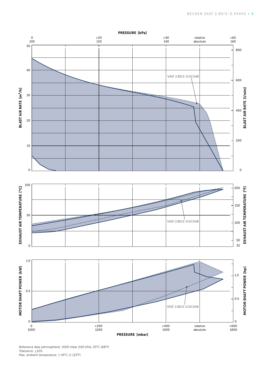

Reference data (atmosphere): 1000 mbar (100 kPa), 20°C (68°F) Tolerance:  $±10%$ Max. ambient temperature: ≤ 45°C (≤ 113°F)